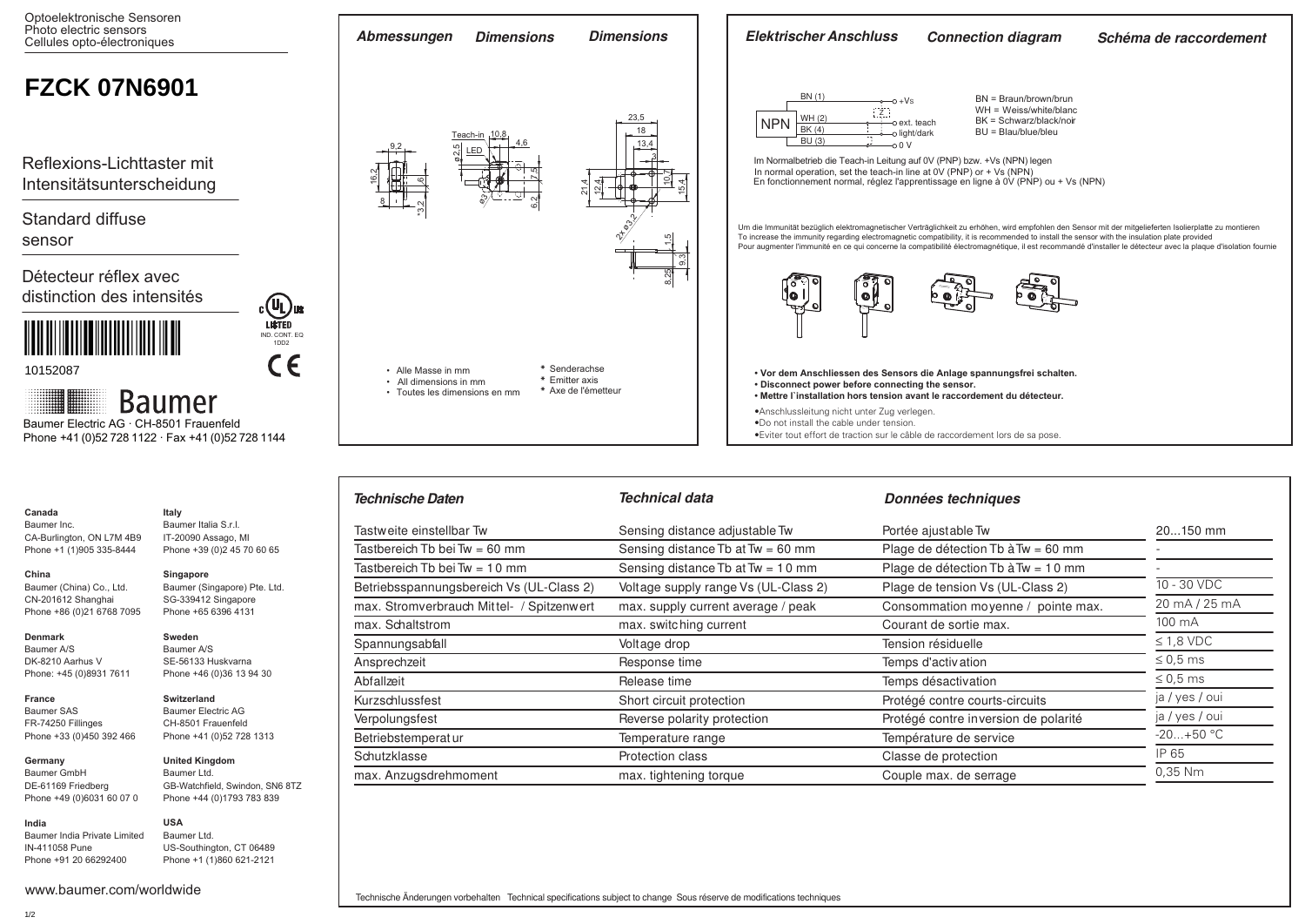

Betriebsspannungsbereich Vs (UL-Class 2) Voltage supply range Vs (UL-Class 2) Plage de tension Vs (UL-Class 2) max. Stromverbrauch Mittel- / Spitzenwert max. supply current average / peak Consommation moyenne / pointe max

Tastbereich Tb bei Tw = 60 mm  $Sensing$  distance Tb at Tw = 60 mm Plage de détection Tb à Tw = 60 mm Tastbereich Tb bei Tw = 10 mm Sensing distance Tb at Tw = 10 mm Plage de détection Tb à Tw = 10 mm

> 10 - 30 VDC 20 mA / 25 mA 100 mA  $\leq$  1.8 VDC ≤ 0,5 ms ≤ 0,5 ms ja / yes / oui ja / yes / oui  $-20 + 50 °C$ IP 65 0,35 Nm

- -

20...150 mm

Kurzschlussfest **Short circuit protection Short circuits** Protégé contre courts-circuits Verpolungsfest entertainment reverse polarity protection and Protégé contre inversion de polarité

Betriebstemperatur and Temperature range Temperature range Température de service Schutzklasse **Protection class** Protection class **Protection** classe Classe de protection max. Anzugsdrehmoment max. tightening torque max. the Couple max. de serrage max. de serrage

max. Schaltstrom **max.** switching current Courant de sortie max. switching current Spannungsabfall **Spannungsabfall** Spannungsabfall Voltage drop Tension Tension résiduelle Ansprechzeit Response time Temps d'activation Abfallzeit **Release time Release time** Temps désactivation

Tastweite einstellbar Tw **Sensing distance adjustable Tw** Portée ajustable Tw

| ааа                    |  |
|------------------------|--|
| ner Inc.               |  |
| 3urlinaton. ON L7M 4B9 |  |

 $CA-B$ Phone +1 (1)905 335-8444

### **China**  Baumer (China) Co., Ltd. CN-201612 Shanghai

Phone +86 (0)21 6768 7095 Baumer (Singapore) Pte. Ltd. SG-339412 Singapore Phone +65 6396 4131

**Singapore**

**Sweden** Baumer A/S SE-56133 Huskvarna Phone +46 (0)36 13 94 30

**Switzerland** Baumer Electric AG CH-8501 Frauenfeld Phone +41 (0)52 728 1313

IT-20090 Assago, MI Phone +39 (0)2 45 70 60 65

# **Denmark**

Baumer A/S DK-8210 Aarhus V Phone: +45 (0)8931 7611

# **France** Baumer SAS

FR-74250 Fillinges Phone +33 (0)450 392 466

**Germany**  Baumer GmbH

DE-61169 Friedberg Phone +49 (0)6031 60 07 0 **United Kingdom** Baumer Ltd. GB-Watchfield, Swindon, SN6 8TZ

### Baumer India Private Limited IN-411058 Pune Phone +44 (0)1793 783 839 **USA** Baumer Ltd.

Phone +91 20 66292400 US-Southington, CT 06489 Phone +1 (1)860 621-2121

www.baumer.com/worldwide

**India**